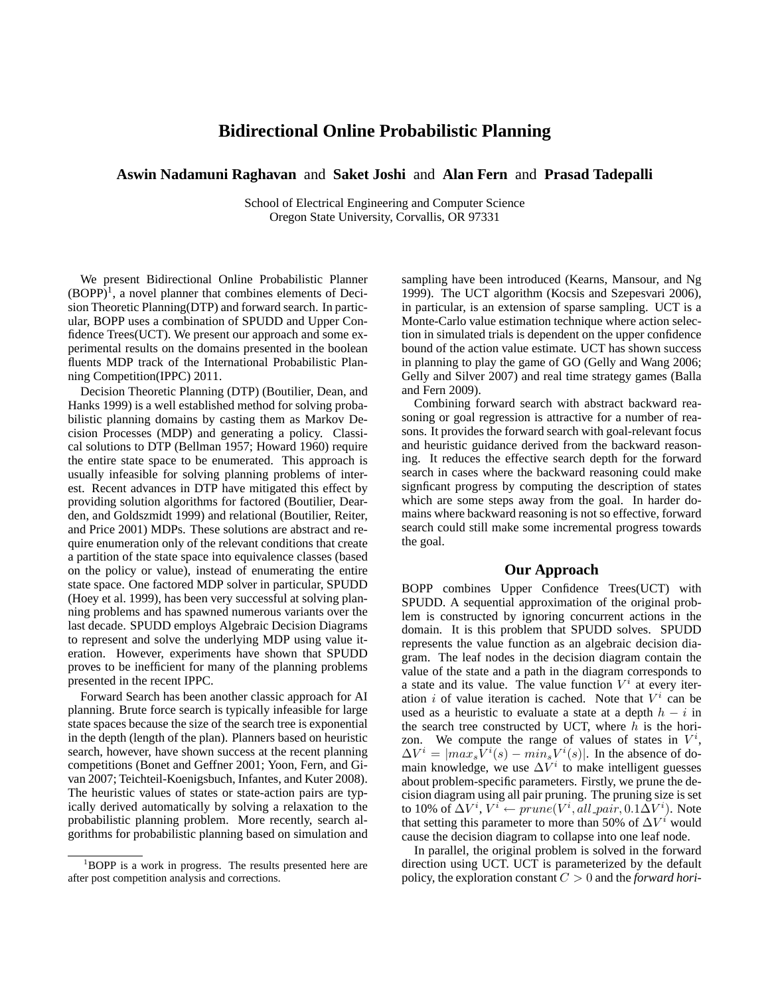## **Bidirectional Online Probabilistic Planning**

**Aswin Nadamuni Raghavan** and **Saket Joshi** and **Alan Fern** and **Prasad Tadepalli**

School of Electrical Engineering and Computer Science Oregon State University, Corvallis, OR 97331

We present Bidirectional Online Probabilistic Planner  $(BOPP)^1$ , a novel planner that combines elements of Decision Theoretic Planning(DTP) and forward search. In particular, BOPP uses a combination of SPUDD and Upper Confidence Trees(UCT). We present our approach and some experimental results on the domains presented in the boolean fluents MDP track of the International Probabilistic Planning Competition(IPPC) 2011.

Decision Theoretic Planning (DTP) (Boutilier, Dean, and Hanks 1999) is a well established method for solving probabilistic planning domains by casting them as Markov Decision Processes (MDP) and generating a policy. Classical solutions to DTP (Bellman 1957; Howard 1960) require the entire state space to be enumerated. This approach is usually infeasible for solving planning problems of interest. Recent advances in DTP have mitigated this effect by providing solution algorithms for factored (Boutilier, Dearden, and Goldszmidt 1999) and relational (Boutilier, Reiter, and Price 2001) MDPs. These solutions are abstract and require enumeration only of the relevant conditions that create a partition of the state space into equivalence classes (based on the policy or value), instead of enumerating the entire state space. One factored MDP solver in particular, SPUDD (Hoey et al. 1999), has been very successful at solving planning problems and has spawned numerous variants over the last decade. SPUDD employs Algebraic Decision Diagrams to represent and solve the underlying MDP using value iteration. However, experiments have shown that SPUDD proves to be inefficient for many of the planning problems presented in the recent IPPC.

Forward Search has been another classic approach for AI planning. Brute force search is typically infeasible for large state spaces because the size of the search tree is exponential in the depth (length of the plan). Planners based on heuristic search, however, have shown success at the recent planning competitions (Bonet and Geffner 2001; Yoon, Fern, and Givan 2007; Teichteil-Koenigsbuch, Infantes, and Kuter 2008). The heuristic values of states or state-action pairs are typically derived automatically by solving a relaxation to the probabilistic planning problem. More recently, search algorithms for probabilistic planning based on simulation and

sampling have been introduced (Kearns, Mansour, and Ng 1999). The UCT algorithm (Kocsis and Szepesvari 2006), in particular, is an extension of sparse sampling. UCT is a Monte-Carlo value estimation technique where action selection in simulated trials is dependent on the upper confidence bound of the action value estimate. UCT has shown success in planning to play the game of GO (Gelly and Wang 2006; Gelly and Silver 2007) and real time strategy games (Balla and Fern 2009).

Combining forward search with abstract backward reasoning or goal regression is attractive for a number of reasons. It provides the forward search with goal-relevant focus and heuristic guidance derived from the backward reasoning. It reduces the effective search depth for the forward search in cases where the backward reasoning could make signficant progress by computing the description of states which are some steps away from the goal. In harder domains where backward reasoning is not so effective, forward search could still make some incremental progress towards the goal.

## **Our Approach**

BOPP combines Upper Confidence Trees(UCT) with SPUDD. A sequential approximation of the original problem is constructed by ignoring concurrent actions in the domain. It is this problem that SPUDD solves. SPUDD represents the value function as an algebraic decision diagram. The leaf nodes in the decision diagram contain the value of the state and a path in the diagram corresponds to a state and its value. The value function  $V^i$  at every iteration i of value iteration is cached. Note that  $V^i$  can be used as a heuristic to evaluate a state at a depth  $h - i$  in the search tree constructed by UCT, where  $h$  is the horizon. We compute the range of values of states in  $V^i$ ,  $\Delta V^i = |max_s V^i(s) - min_s V^i(s)|$ . In the absence of domain knowledge, we use  $\Delta V^i$  to make intelligent guesses about problem-specific parameters. Firstly, we prune the decision diagram using all pair pruning. The pruning size is set to 10% of  $\Delta V^i$ ,  $V^i \leftarrow \text{prune}(V^i, \text{all\_pair}, 0.1 \Delta V^i)$ . Note that setting this parameter to more than 50% of  $\Delta V^i$  would cause the decision diagram to collapse into one leaf node.

In parallel, the original problem is solved in the forward direction using UCT. UCT is parameterized by the default policy, the exploration constant C > 0 and the *forward hori-*

<sup>&</sup>lt;sup>1</sup>BOPP is a work in progress. The results presented here are after post competition analysis and corrections.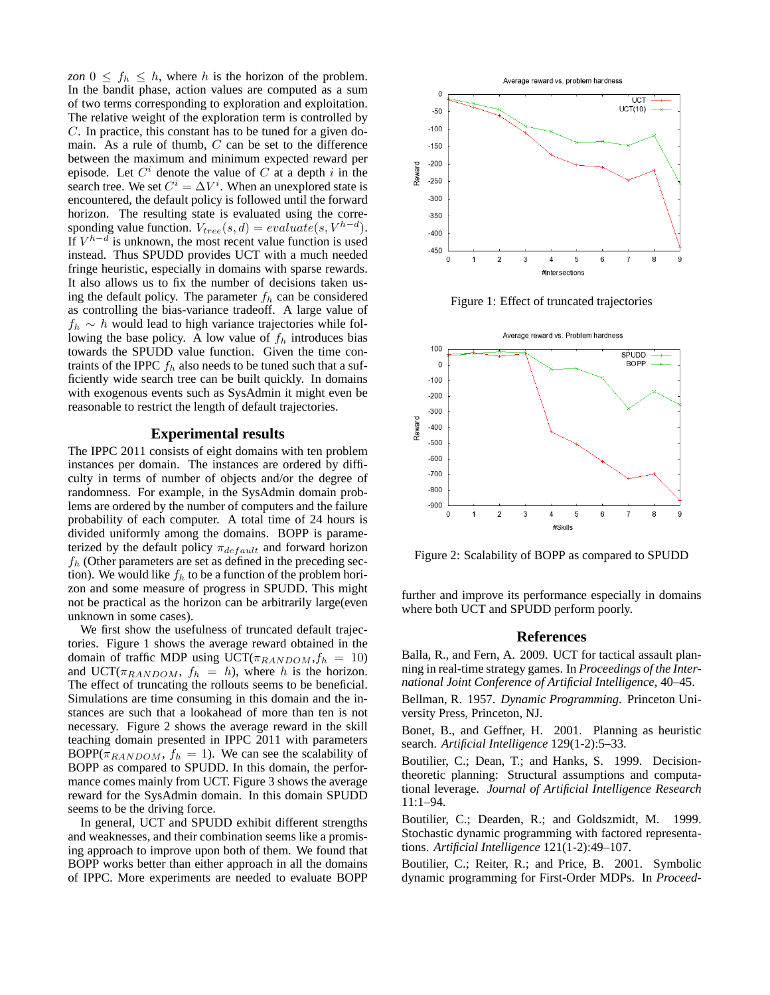*zon*  $0 \leq f_h \leq h$ , where h is the horizon of the problem. In the bandit phase, action values are computed as a sum of two terms corresponding to exploration and exploitation. The relative weight of the exploration term is controlled by C. In practice, this constant has to be tuned for a given domain. As a rule of thumb,  $C$  can be set to the difference between the maximum and minimum expected reward per episode. Let  $C<sup>i</sup>$  denote the value of C at a depth i in the search tree. We set  $C^i = \Delta V^i$ . When an unexplored state is encountered, the default policy is followed until the forward horizon. The resulting state is evaluated using the corresponding value function.  $V_{tree}(s, d) = evaluate(s, V^{h-d})$ . If  $V^{h-d}$  is unknown, the most recent value function is used instead. Thus SPUDD provides UCT with a much needed fringe heuristic, especially in domains with sparse rewards. It also allows us to fix the number of decisions taken using the default policy. The parameter  $f<sub>h</sub>$  can be considered as controlling the bias-variance tradeoff. A large value of  $f_h \sim h$  would lead to high variance trajectories while following the base policy. A low value of  $f<sub>h</sub>$  introduces bias towards the SPUDD value function. Given the time contraints of the IPPC  $f_h$  also needs to be tuned such that a sufficiently wide search tree can be built quickly. In domains with exogenous events such as SysAdmin it might even be reasonable to restrict the length of default trajectories.

## **Experimental results**

The IPPC 2011 consists of eight domains with ten problem instances per domain. The instances are ordered by difficulty in terms of number of objects and/or the degree of randomness. For example, in the SysAdmin domain problems are ordered by the number of computers and the failure probability of each computer. A total time of 24 hours is divided uniformly among the domains. BOPP is parameterized by the default policy  $\pi_{default}$  and forward horizon  $f_h$  (Other parameters are set as defined in the preceding section). We would like  $f<sub>h</sub>$  to be a function of the problem horizon and some measure of progress in SPUDD. This might not be practical as the horizon can be arbitrarily large(even unknown in some cases).

We first show the usefulness of truncated default trajectories. Figure 1 shows the average reward obtained in the domain of traffic MDP using  $\text{UCT}(\pi_{RANDOM}, f_h = 10)$ and UCT( $\pi_{RANDOM}$ ,  $f_h = h$ ), where h is the horizon. The effect of truncating the rollouts seems to be beneficial. Simulations are time consuming in this domain and the instances are such that a lookahead of more than ten is not necessary. Figure 2 shows the average reward in the skill teaching domain presented in IPPC 2011 with parameters BOPP( $\pi_{RANDOM}$ ,  $f_h = 1$ ). We can see the scalability of BOPP as compared to SPUDD. In this domain, the performance comes mainly from UCT. Figure 3 shows the average reward for the SysAdmin domain. In this domain SPUDD seems to be the driving force.

In general, UCT and SPUDD exhibit different strengths and weaknesses, and their combination seems like a promising approach to improve upon both of them. We found that BOPP works better than either approach in all the domains of IPPC. More experiments are needed to evaluate BOPP



Figure 1: Effect of truncated trajectories



Figure 2: Scalability of BOPP as compared to SPUDD

further and improve its performance especially in domains where both UCT and SPUDD perform poorly.

## **References**

Balla, R., and Fern, A. 2009. UCT for tactical assault planning in real-time strategy games. In *Proceedings of the International Joint Conference of Artificial Intelligence*, 40–45.

Bellman, R. 1957. *Dynamic Programming*. Princeton University Press, Princeton, NJ.

Bonet, B., and Geffner, H. 2001. Planning as heuristic search. *Artificial Intelligence* 129(1-2):5–33.

Boutilier, C.; Dean, T.; and Hanks, S. 1999. Decisiontheoretic planning: Structural assumptions and computational leverage. *Journal of Artificial Intelligence Research* 11:1–94.

Boutilier, C.; Dearden, R.; and Goldszmidt, M. 1999. Stochastic dynamic programming with factored representations. *Artificial Intelligence* 121(1-2):49–107.

Boutilier, C.; Reiter, R.; and Price, B. 2001. Symbolic dynamic programming for First-Order MDPs. In *Proceed-*